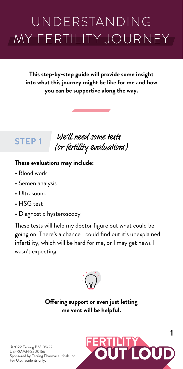# UNDERSTANDING MY FERTILITY JOURNEY

**This step-by-step guide will provide some insight into what this journey might be like for me and how you can be supportive along the way.** 

# **STEP 1**

 We'll need some tests (or fertility evaluations)

#### **These evaluations may include:**

- Blood work
- Semen analysis
- Ultrasound
- HSG test
- Diagnostic hysteroscopy

These tests will help my doctor figure out what could be going on. There's a chance I could find out it's unexplained infertility, which will be hard for me, or I may get news I wasn't expecting.



## **Offering support or even just letting me vent will be helpful.**



©2022 Ferring B.V. 05/22 US-RMMH-2200166 Sponsored by Ferring Pharmaceuticals Inc. For U.S. residents only.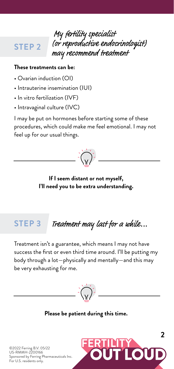## **STEP 2**

 My ertility specialist (or reproductive endocrinologist) may recommend treatment

#### **These treatments can be:**

- Ovarian induction (OI)
- Intrauterine insemination (IUI)
- In vitro fertilization (IVF)
- Intravaginal culture (IVC)

I may be put on hormones before starting some of these procedures, which could make me feel emotional. I may not feel up for our usual things.



### **If I seem distant or not myself, I'll need you to be extra understanding.**

#### **STEP 3** Treatment may last for a while...

Treatment isn't a guarantee, which means I may not have success the first or even third time around. I'll be putting my body through a lot—physically and mentally—and this may be very exhausting for me.



**Please be patient during this time.**



©2022 Ferring B.V. 05/22 US-RMMH-2200166 Sponsored by Ferring Pharmaceuticals Inc. For U.S. residents only.